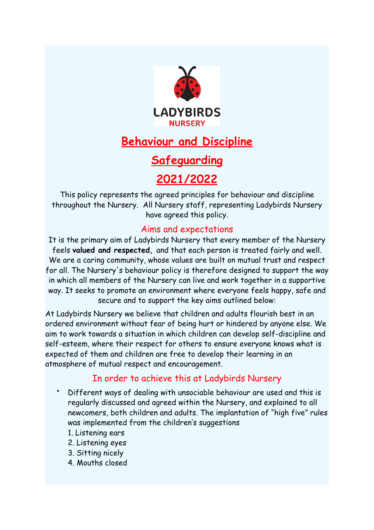

# **Behaviour and Discipline**

# **Safeguarding**

# **2021/2022**

This policy represents the agreed principles for behaviour and discipline throughout the Nursery. All Nursery staff, representing Ladybirds Nursery have agreed this policy.

# Aims and expectations

It is the primary aim of Ladybirds Nursery that every member of the Nursery feels **valued and respected,** and that each person is treated fairly and well. We are a caring community, whose values are built on mutual trust and respect for all. The Nursery's behaviour policy is therefore designed to support the way in which all members of the Nursery can live and work together in a supportive way. It seeks to promote an environment where everyone feels happy, safe and secure and to support the key aims outlined below:

At Ladybirds Nursery we believe that children and adults flourish best in an ordered environment without fear of being hurt or hindered by anyone else. We aim to work towards a situation in which children can develop self-discipline and self-esteem, where their respect for others to ensure everyone knows what is expected of them and children are free to develop their learning in an atmosphere of mutual respect and encouragement.

# In order to achieve this at Ladybirds Nursery

- Different ways of dealing with unsociable behaviour are used and this is regularly discussed and agreed within the Nursery, and explained to all newcomers, both children and adults. The implantation of "high five" rules was implemented from the children's suggestions
	- 1. Listening ears
	- 2. Listening eyes
	- 3. Sitting nicely
	- 4. Mouths closed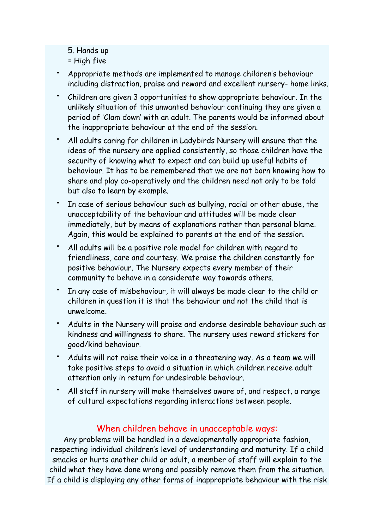5. Hands up

= High five

- Appropriate methods are implemented to manage children's behaviour including distraction, praise and reward and excellent nursery- home links.
- Children are given 3 opportunities to show appropriate behaviour. In the unlikely situation of this unwanted behaviour continuing they are given a period of 'Clam down' with an adult. The parents would be informed about the inappropriate behaviour at the end of the session.
- All adults caring for children in Ladybirds Nursery will ensure that the ideas of the nursery are applied consistently, so those children have the security of knowing what to expect and can build up useful habits of behaviour. It has to be remembered that we are not born knowing how to share and play co-operatively and the children need not only to be told but also to learn by example.
- In case of serious behaviour such as bullying, racial or other abuse, the unacceptability of the behaviour and attitudes will be made clear immediately, but by means of explanations rather than personal blame. Again, this would be explained to parents at the end of the session.
- All adults will be a positive role model for children with regard to friendliness, care and courtesy. We praise the children constantly for positive behaviour. The Nursery expects every member of their community to behave in a considerate way towards others.
- In any case of misbehaviour, it will always be made clear to the child or children in question it is that the behaviour and not the child that is unwelcome.
- Adults in the Nursery will praise and endorse desirable behaviour such as kindness and willingness to share. The nursery uses reward stickers for good/kind behaviour.
- Adults will not raise their voice in a threatening way. As a team we will take positive steps to avoid a situation in which children receive adult attention only in return for undesirable behaviour.
- All staff in nursery will make themselves aware of, and respect, a range of cultural expectations regarding interactions between people.

### When children behave in unacceptable ways:

Any problems will be handled in a developmentally appropriate fashion, respecting individual children's level of understanding and maturity. If a child smacks or hurts another child or adult, a member of staff will explain to the child what they have done wrong and possibly remove them from the situation. If a child is displaying any other forms of inappropriate behaviour with the risk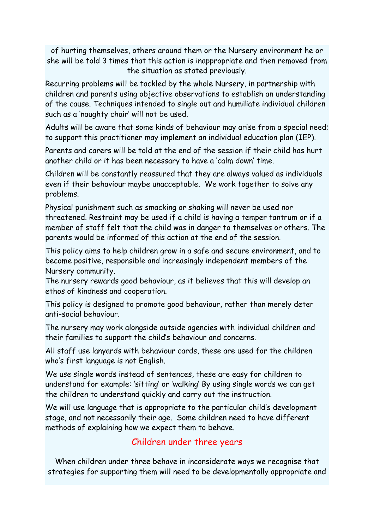of hurting themselves, others around them or the Nursery environment he or she will be told 3 times that this action is inappropriate and then removed from the situation as stated previously.

Recurring problems will be tackled by the whole Nursery, in partnership with children and parents using objective observations to establish an understanding of the cause. Techniques intended to single out and humiliate individual children such as a 'naughty chair' will not be used.

Adults will be aware that some kinds of behaviour may arise from a special need; to support this practitioner may implement an individual education plan (IEP).

Parents and carers will be told at the end of the session if their child has hurt another child or it has been necessary to have a 'calm down' time.

Children will be constantly reassured that they are always valued as individuals even if their behaviour maybe unacceptable. We work together to solve any problems.

Physical punishment such as smacking or shaking will never be used nor threatened. Restraint may be used if a child is having a temper tantrum or if a member of staff felt that the child was in danger to themselves or others. The parents would be informed of this action at the end of the session.

This policy aims to help children grow in a safe and secure environment, and to become positive, responsible and increasingly independent members of the Nursery community.

The nursery rewards good behaviour, as it believes that this will develop an ethos of kindness and cooperation.

This policy is designed to promote good behaviour, rather than merely deter anti-social behaviour.

The nursery may work alongside outside agencies with individual children and their families to support the child's behaviour and concerns.

All staff use lanyards with behaviour cards, these are used for the children who's first language is not English.

We use single words instead of sentences, these are easy for children to understand for example: 'sitting' or 'walking' By using single words we can get the children to understand quickly and carry out the instruction.

We will use language that is appropriate to the particular child's development stage, and not necessarily their age. Some children need to have different methods of explaining how we expect them to behave.

# Children under three years

When children under three behave in inconsiderate ways we recognise that strategies for supporting them will need to be developmentally appropriate and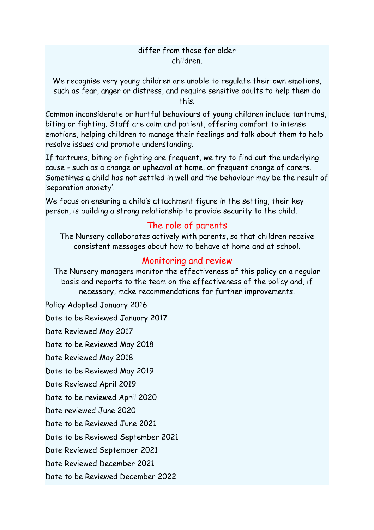#### differ from those for older children.

We recognise very young children are unable to regulate their own emotions, such as fear, anger or distress, and require sensitive adults to help them do this.

Common inconsiderate or hurtful behaviours of young children include tantrums, biting or fighting. Staff are calm and patient, offering comfort to intense emotions, helping children to manage their feelings and talk about them to help resolve issues and promote understanding.

If tantrums, biting or fighting are frequent, we try to find out the underlying cause - such as a change or upheaval at home, or frequent change of carers. Sometimes a child has not settled in well and the behaviour may be the result of 'separation anxiety'.

We focus on ensuring a child's attachment figure in the setting, their key person, is building a strong relationship to provide security to the child.

### The role of parents

The Nursery collaborates actively with parents, so that children receive consistent messages about how to behave at home and at school.

### Monitoring and review

The Nursery managers monitor the effectiveness of this policy on a regular basis and reports to the team on the effectiveness of the policy and, if necessary, make recommendations for further improvements.

Policy Adopted January 2016 Date to be Reviewed January 2017 Date Reviewed May 2017 Date to be Reviewed May 2018 Date Reviewed May 2018 Date to be Reviewed May 2019 Date Reviewed April 2019 Date to be reviewed April 2020 Date reviewed June 2020 Date to be Reviewed June 2021 Date to be Reviewed September 2021 Date Reviewed September 2021 Date Reviewed December 2021

Date to be Reviewed December 2022